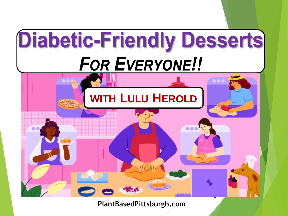

**PlantBasedPittsburgh.com**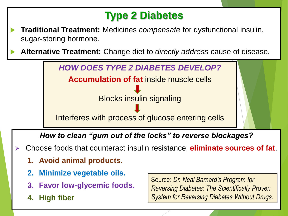### **Type 2 Diabetes**

- **Traditional Treatment:** Medicines *compensate* for dysfunctional insulin, sugar-storing hormone.
- **Alternative Treatment:** Change diet to *directly address* cause of disease.



*How to clean "gum out of the locks" to reverse blockages?* 

- ➢ Choose foods that counteract insulin resistance; **eliminate sources of fat**.
	- **1. Avoid animal products.**
	- **2. Minimize vegetable oils.**
	- **3. Favor low-glycemic foods.**
	- **4. High fiber**

Sally Lipsky, PlantBased Pittsburgh.com 2011 Source: *Dr. Neal Barnard's Program for Reversing Diabetes: The Scientifically Proven System for Reversing Diabetes Without Drugs*.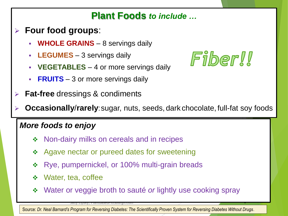### **Plant Foods** *to include …*

- ➢ **Four food groups**:
	- **WHOLE GRAINS** 8 servings daily
	- **LEGUMES** 3 servings daily
	- **VEGETABLES** 4 or more servings daily
	- **FRUITS** 3 or more servings daily
- ➢ **Fat-free** dressings & condiments



**Occasionally/rarely**: sugar, nuts, seeds, dark chocolate, full-fat soy foods

#### *More foods to enjoy*

- ❖ Non-dairy milks on cereals and in recipes
- ❖ Agave nectar or pureed dates for sweetening
- ❖ Rye, pumpernickel, or 100% multi-grain breads
- ❖ Water, tea, coffee
- ❖ Water or veggie broth to sauté *or* lightly use cooking spray

Source: *Dr. Neal Barnard's Program for Reversing Diabetes: The Scientifically Proven System for Reversing Diabetes Without Drugs*.

sally Lipsky, PlantbasedPittsburgh.com 33 (3) 33 (3) 33 (3) 33 (3) 33 (3) 33 (3) 33 (3) 33 (3) 33 (3) 33 (3) 3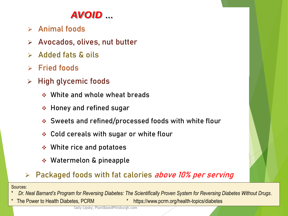### *AVOID …*

- ➢ **Animal foods**
- ➢ **Avocados, olives, nut butter**
- ➢ **Added fats & oils**
- ➢ **Fried foods**
- ➢ **High glycemic foods**
	- ❖ White and whole wheat breads
	- ❖ Honey and refined sugar
	- ❖ Sweets and refined/processed foods with white flour
	- ❖ Cold cereals with sugar or white flour
	- ❖ White rice and potatoes
	- ❖ Watermelon & pineapple

#### ➢ **Packaged foods with fat calories above 10% per serving**

Sources:

\* *Dr. Neal Barnard's Program for Reversing Diabetes: The Scientifically Proven System for Reversing Diabetes Without Drugs*.

- - \* The Power to Health Diabetes, PCRM \* https://www.pcrm.org/health-topics/diabetes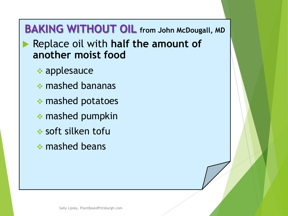# **BAKING WITHOUT OIL from John McDougall, MD**

 Replace oil with **half the amount of another moist food**

- ❖ applesauce
- ❖ mashed bananas
- ❖ mashed potatoes
- ❖ mashed pumpkin
- ❖ soft silken tofu
- ❖ mashed beans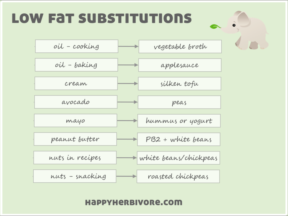# **LOW FAT SUBSTITUTIONS**



#### HappyHerBIVORe.com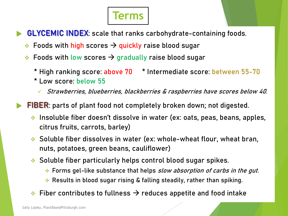# **Terms**

- **GLYCEMIC INDEX**: scale that ranks carbohydrate-containing foods.
	- Foods with high scores  $\rightarrow$  quickly raise blood sugar
	- ❖ Foods with low scores  $\rightarrow$  gradually raise blood sugar
		- \* **High ranking score: above 70** \* **Intermediate score**: **between 55-70**
		- \* **Low score**: **below 55**
			- ✓ Strawberries, blueberries, blackberries & raspberries have scores below 40.

**FIBER**: parts of plant food not completely broken down; not digested.

- ❖ **Insoluble fiber** doesn't dissolve in water (ex: oats, peas, beans, apples, citrus fruits, carrots, barley)
- ❖ **Soluble fiber** dissolves in water (ex: whole-wheat flour, wheat bran, nuts, potatoes, green beans, cauliflower)
- ❖ **Soluble fiber** particularly helps control blood sugar spikes.
	- ❖ Forms gel-like substance that helps slow absorption of carbs in the gut.
	- ❖ Results in blood sugar rising & falling **steadily**, rather than spiking.
- $\hat{\;\;}\;$  Fiber contributes to fullness  $\;\!\Rightarrow$  reduces appetite and food intake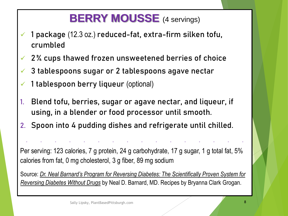# **BERRY MOUSSE** (4 servings)

- ✓ 1 package (12.3 oz.) reduced-fat, extra-firm silken tofu, crumbled
- $\sqrt{2\%}$  cups thawed frozen unsweetened berries of choice
- $\checkmark$  3 tablespoons sugar or 2 tablespoons agave nectar
- $\checkmark$  1 tablespoon berry liqueur (optional)
- 1. Blend tofu, berries, sugar or agave nectar, and liqueur, if using, in a blender or food processor until smooth.
- 2. Spoon into 4 pudding dishes and refrigerate until chilled.

Per serving: 123 calories, 7 g protein, 24 g carbohydrate, 17 g sugar, 1 g total fat, 5% calories from fat, 0 mg cholesterol, 3 g fiber, 89 mg sodium

**- - - - - - - - - - - - - - - -**

Source: *[Dr. Neal Barnard's Program for Reversing Diabetes: The Scientifically Proven System for](about:blank)  Reversing Diabetes Without Drugs* by Neal D. Barnard, MD. Recipes by Bryanna Clark Grogan.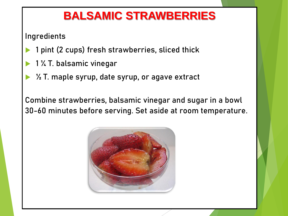## **BALSAMIC STRAWBERRIES**

**Ingredients**

- 1 pint (2 cups) fresh strawberries, sliced thick
- 1 ¼ T. balsamic vinegar
- ½ T. maple syrup, date syrup, or agave extract

Combine strawberries, balsamic vinegar and sugar in a bowl 30-60 minutes before serving. Set aside at room temperature.

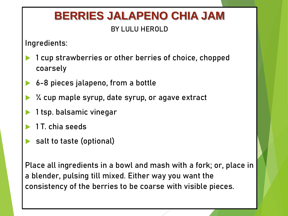# **BERRIES JALAPENO CHIA JAM**

#### **BY LULU HEROLD**

**Ingredients:**

- 1 cup strawberries or other berries of choice, chopped coarsely
- 6-8 pieces jalapeno, from a bottle
- ¼ cup maple syrup, date syrup, or agave extract
- 1 tsp. balsamic vinegar
- 1 T. chia seeds
- salt to taste (optional)

Place all ingredients in a bowl and mash with a fork; or, place in a blender, pulsing till mixed. Either way you want the consistency of the berries to be coarse with visible pieces.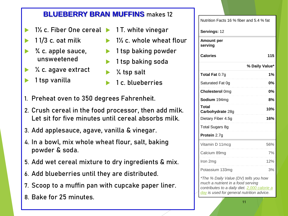#### **BLUEBERRY BRAN MUFFINS** makes 12

- ▶ 1½ c. Fiber One cereal ▶ 1 T. white vinegar
- 1 1/3 c. oat milk
- ¾ c. apple sauce, unsweetened
- ¼ c. agave extract
- 1 tsp vanilla
- - $\blacktriangleright$  1<sup>1</sup>/<sub>2</sub> c. whole wheat flour
	- $\blacktriangleright$  1 tsp baking powder
	- 1 tsp baking soda
	- ¼ tsp salt
	- 1 c. blueberries
- 1. Preheat oven to 350 degrees Fahrenheit.
- 2. Crush cereal in the food processor, then add milk. Let sit for five minutes until cereal absorbs milk.
- 3. Add applesauce, agave, vanilla & vinegar.
- 4. In a bowl, mix whole wheat flour, salt, baking powder & soda.
- 5. Add wet cereal mixture to dry ingredients & mix.
- 6. Add blueberries until they are distributed.
- 7. Scoop to a muffin pan with cupcake paper liner.
- Sally Lipsky, PlantBasedPittsburgh.com 11 8. Bake for 25 minutes.

| 115                                                                                                                                                                     |
|-------------------------------------------------------------------------------------------------------------------------------------------------------------------------|
| % Daily Value*                                                                                                                                                          |
| 1%<br><b>0%</b><br>0%                                                                                                                                                   |
|                                                                                                                                                                         |
|                                                                                                                                                                         |
|                                                                                                                                                                         |
| 8%                                                                                                                                                                      |
| 10%                                                                                                                                                                     |
| 16%                                                                                                                                                                     |
|                                                                                                                                                                         |
|                                                                                                                                                                         |
| 56%                                                                                                                                                                     |
| 7%                                                                                                                                                                      |
| 12%                                                                                                                                                                     |
| 3%                                                                                                                                                                      |
| *The % Daily Value (DV) tells you how<br>much a nutrient in a food serving<br>contributes to a daily diet. 2,000 calorie a<br>day is used for general nutrition advice. |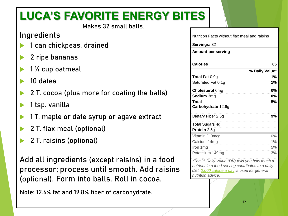## **LUCA'S FAVORITE ENERGY BITES**

Makes 32 small balls.

#### **Ingredients**

- 1 can chickpeas, drained
- 2 ripe bananas
- 1 ½ cup oatmeal
- 10 dates
- 2 T. cocoa (plus more for coating the balls)
- 1 tsp. vanilla
- 1 T. maple or date syrup or agave extract
- 2 T. flax meal (optional)
- 2 T. raisins (optional)

Add all ingredients (except raisins) in a food processor; process until smooth. Add raisins (optional). Form into balls. Roll in cocoa.

Note: 12.6% fat and 19.8% fiber of carbohydrate.

Nutrition Facts without flax meal and raisins

**Servings:** 32

**Amount per serving**

| <b>Calories</b>                              | 65             |
|----------------------------------------------|----------------|
|                                              | % Daily Value* |
| <b>Total Fat 0.9g</b>                        | 1%             |
| Saturated Fat 0.1g                           | 1%             |
| <b>Cholesterol Omg</b>                       | 0%             |
| Sodium 3mg                                   | 0%             |
| Total<br><b>Carbohydrate</b> 12.6g           | 5%             |
| Dietary Fiber 2.5g                           | 9%             |
| Total Sugars 4g<br>Protein 2.5g              |                |
| Vitamin D 0mcg                               | 0%             |
| Calcium 14mg                                 | 1%             |
| Iron 1 mg                                    | 5%             |
| Potassium 149mg                              | 3%             |
| *The % Daily Value (DV) tells you how much a |                |

*\*The % Daily Value (DV) tells you how much a nutrient in a food serving contributes to a daily diet. [2,000 calorie a day](about:blank) is used for general nutrition advice.*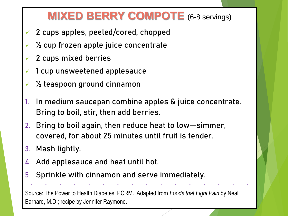## **MIXED BERRY COMPOTE** (6-8 servings)

- ✓ 2 cups apples, peeled/cored, chopped
- ✓ ½ cup frozen apple juice concentrate
- ✓ 2 cups mixed berries
- 1 cup unsweetened applesauce
- $\frac{1}{2}$  teaspoon ground cinnamon
- In medium saucepan combine apples & juice concentrate. Bring to boil, stir, then add berries.
- 2. Bring to boil again, then reduce heat to low—simmer, covered, for about 25 minutes until fruit is tender.
- 3. Mash lightly.
- 4. Add applesauce and heat until hot.
- 5. Sprinkle with cinnamon and serve immediately.

Barnard, M.D.; recipe by Jennifer Raymond. The state of the 13 state of the 13 state of the 13 state of the 13 Source: The Power to Health Diabetes, PCRM. Adapted from *Foods that Fight Pain* by Neal

**- - - - - - - - - - - - - - - -**